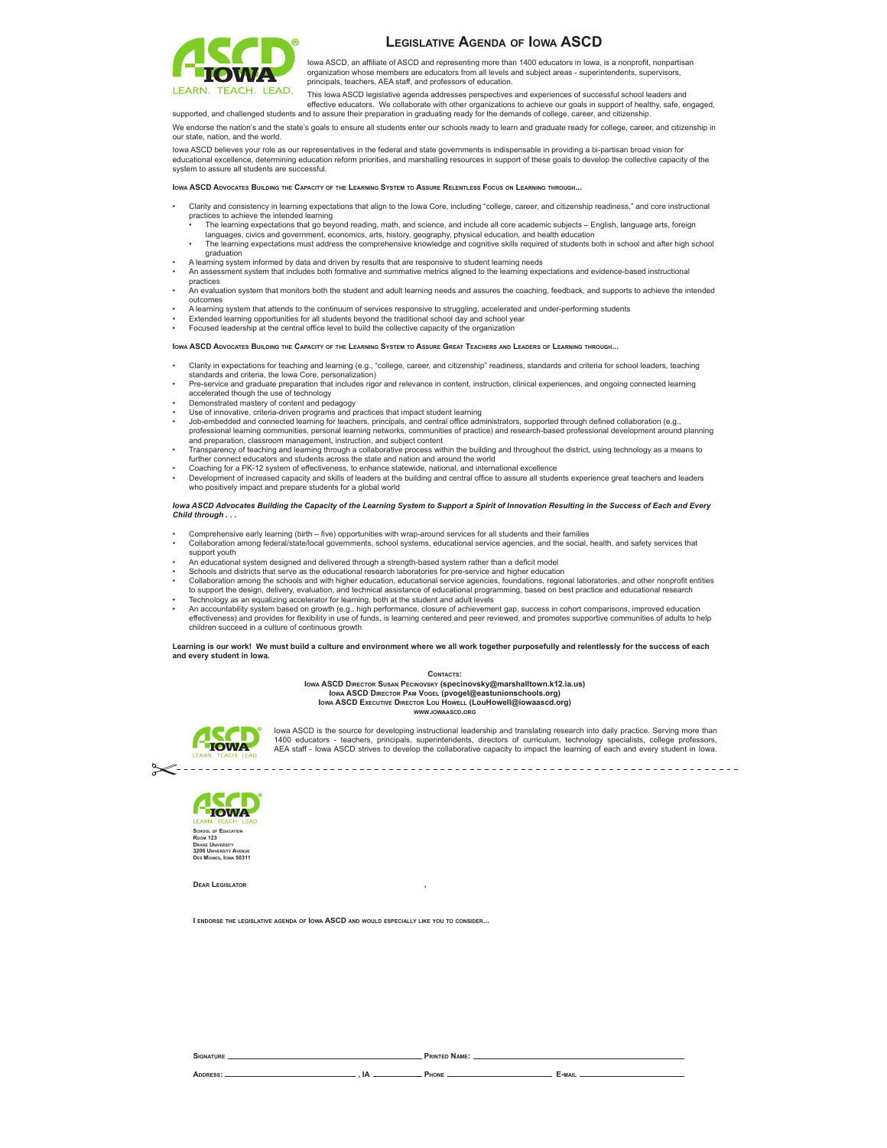

## **LEGISLATIVE AGENDA OF IOWA ASCD**

Iowa ASCD, an affiliate of ASCD and representing more than 1400 educators in Iowa, is a nonprofit, nonpartisan organization whose members are educators from all levels and subject areas - superintendents, supervisors, principals, teachers, AEA staff, and professors of education.

This lowa ASCD legislative agenda addresses perspectives and experiences of successful school leaders and effective educators. We collaborate with other organizations to achieve our goals in support of healthy, safe, engaged,<br>supported, and challenged students and to assure their preparation in graduating ready for the demands

We endorse the nation's and the state's goals to ensure all students enter our schools ready to learn and graduate ready for college, career, and citizenship in our state, nation, and the world. 

lowa ASCD believes your role as our representatives in the federal and state governments is indispensable in providing a bi-partisan broad vision for educational excellence, determining education reform priorities, and marshalling resources in support of these goals to develop the collective capacity of the system to assure all students are successful.

**IOWA ASCD ADVOCATES BUILDING THE CAPACITY OF THE LEARNING SYSTEM TO ASSURE RELENTLESS FOCUS ON LEARNING THROUGH...**

- Clarity and consistency in learning expectations that align to the lowa Core, including "college, career, and citizenship readiness," and core instructional practices to achieve the intended learning
- The learning expectations that go beyond reading, math, and science, and include all core academic subjects English, language arts, foreign<br>languages, civics and government, economics, arts, history, geography, physical
- The learning expectations must address the comprehensive knowledge and cognitive skills required of students both in school and after high school araduation
- 
- A learning system informed by data and driven by results that are responsive to student learning needs<br>• An assessment system that includes both formative and summative metrics aligned to the learning expectation practices
- .<br>An evaluation system that monitors both the student and adult learning needs and assures the coaching, feedback, and supports to achieve the intended outcomes
- Firencies with that attends to the continuum of services responsive to struggling, accelerated and under-performing students
- Extended learning opportunities for all students beyond the traditional school day and school year<br>• Focused leadership at the central office level to build the collective capacity of the organization

**IOWA ASCD ADVOCATES BUILDING THE CAPACITY OF THE LEARNING SYSTEM TO ASSURE GREAT TEACHERS AND LEADERS OF LEARNING THROUGH...**

- Clarity in expectations for teaching and learning (e.g., "college, career, and citizenship" readiness, standards and criteria for school leaders, teaching<br>standards and criteria, the lowa Core, personalization)
- Pre-service and graduate preparation that includes rigor and relevance in content, instruction, clinical experiences, and ongoing connected learning accelerated though the use of technology<br>• Demonstrated mastery of content and pedagogy
- 
- 
- Use of innovative, criteria-driven programs and practices that impact student learning<br>• Job-embedded and connected learning for teachers, principals, and central office administrators, supported through defined collabor professional learning communities, personal learning networks, communities of practice) and research-based professional development around planning
- and preparation, classroom management, instruction, and subject content Transparency of teaching and learning through a collaborative process within the building and throughout the district, using technology as a means to
- further connect educators and students across the state and nation and around the world
- Coaching for a PK-12 system of effectiveness, to enhance statewide, national, and international excellence<br>• Development of increased capacity and skills of leaders at the building and central office to assure all studen who positively impact and prepare students for a global world

*Iowa ASCD Advocates Building the Capacity of the Learning System to Support a Spirit of Innovation Resulting in the Success of Each and Every Child through . . .* 

- Comprehensive early learning (birth five) opportunities with wrap-around services for all students and their families<br>• Collaboration among federal/state/local governments, school systems, educational service agencies, support youth
- designed and delivered through a strength-based system rather than a deficit mode
- Schools and districts that serve as the educational research laboratories for pre-service and higher education
- Collaboration among the schools and with higher education, educational service agencies, foundations, regional laboratories, and other nonprofit entities<br>to support the design, delivery, evaluation, and technical assistanc Technology as an equalizing accelerator for learning, both at the student and adult levels
- An accountability system based on growth (e.g., high performance, closure of achievement gap, success in cohort comparisons, improved education effectiveness) and provides for flexibility in use of funds, is learning centered and peer reviewed, and promotes supportive communities of adults to help children succeed in a culture of continuous growth

**Learning is our work! We must build a culture and environment where we all work together purposefully and relentlessly for the success of each and every student in Iowa.**

## **CONTACTS:**

**IOWA ASCD DIRECTOR SUSAN PECINOVSKY (specinovsky@marshalltown.k12.ia.us) IOWA ASCD DIRECTOR PAM VOGEL (pvogel@eastunionschools.org) IOWA ASCD EXECUTIVE DIRECTOR LOU HOWELL (LouHowell@iowaascd.org) WWW.IOWAASCD.ORG**



lowa ASCD is the source for developing instructional leadership and translating research into daily practice. Serving more than 1400 educators - teachers, principals, superintendents, directors of curriculum, technology specialists, college professors, AEA staff - Iowa ASCD strives to develop the collaborative capacity to impact the learning of each and every student in Iowa.



**DEAR LEGISLATOR ,**

**I ENDORSE THE LEGISLATIVE AGENDA OF IOWA ASCD AND WOULD ESPECIALLY LIKE YOU TO CONSIDER...**

**ADDRESS: , IA PHONE E-MAIL**